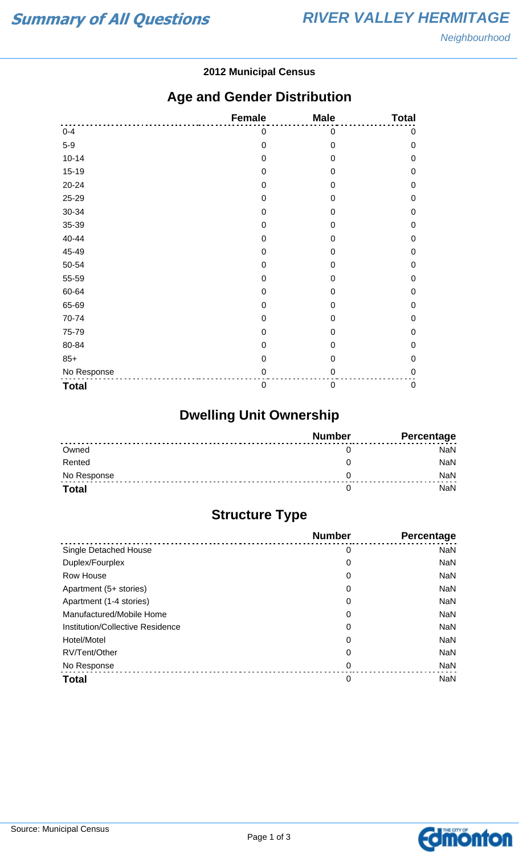#### **2012 Municipal Census**

## **Age and Gender Distribution**

|              | <b>Female</b>    | <b>Male</b>      | <b>Total</b> |
|--------------|------------------|------------------|--------------|
| $0 - 4$      | 0                | 0                | 0            |
| $5-9$        | $\mathbf 0$      | $\mathbf 0$      | $\mathbf 0$  |
| $10 - 14$    | $\mathbf 0$      | $\mathbf 0$      | $\mathbf 0$  |
| $15-19$      | 0                | 0                | $\mathbf 0$  |
| 20-24        | $\mathbf 0$      | $\mathbf 0$      | $\mathbf 0$  |
| 25-29        | 0                | $\boldsymbol{0}$ | $\mathbf 0$  |
| 30-34        | $\mathbf 0$      | $\overline{0}$   | $\mathbf 0$  |
| 35-39        | 0                | 0                | $\mathbf 0$  |
| 40-44        | $\mathbf 0$      | $\Omega$         | $\mathbf 0$  |
| 45-49        | 0                | 0                | $\mathbf 0$  |
| 50-54        | $\mathbf 0$      | 0                | $\mathbf 0$  |
| 55-59        | $\mathbf 0$      | 0                | $\mathbf 0$  |
| 60-64        | $\mathbf 0$      | 0                | $\mathbf 0$  |
| 65-69        | $\boldsymbol{0}$ | $\mathbf 0$      | $\mathbf 0$  |
| 70-74        | $\boldsymbol{0}$ | 0                | $\mathbf 0$  |
| 75-79        | $\mathbf 0$      | 0                | $\mathbf 0$  |
| 80-84        | 0                | 0                | $\mathbf 0$  |
| $85+$        | $\mathbf 0$      | $\mathbf 0$      | $\mathbf 0$  |
| No Response  | 0                | 0                | $\mathbf 0$  |
| <b>Total</b> | $\mathbf 0$      | $\boldsymbol{0}$ | $\pmb{0}$    |

# **Dwelling Unit Ownership**

|              | <b>Number</b> | Percentage |
|--------------|---------------|------------|
| Owned        |               | NaN        |
| Rented       |               | <b>NaN</b> |
| No Response  |               | NaN        |
| <b>Total</b> |               | NaN        |

# **Structure Type**

|                                  | <b>Number</b> | <b>Percentage</b> |
|----------------------------------|---------------|-------------------|
| Single Detached House            | 0             | <b>NaN</b>        |
| Duplex/Fourplex                  | 0             | <b>NaN</b>        |
| Row House                        | 0             | <b>NaN</b>        |
| Apartment (5+ stories)           | 0             | <b>NaN</b>        |
| Apartment (1-4 stories)          | 0             | <b>NaN</b>        |
| Manufactured/Mobile Home         | 0             | <b>NaN</b>        |
| Institution/Collective Residence | 0             | <b>NaN</b>        |
| Hotel/Motel                      | 0             | <b>NaN</b>        |
| RV/Tent/Other                    | 0             | <b>NaN</b>        |
| No Response                      | 0             | <b>NaN</b>        |
| <b>Total</b>                     | 0             | <b>NaN</b>        |

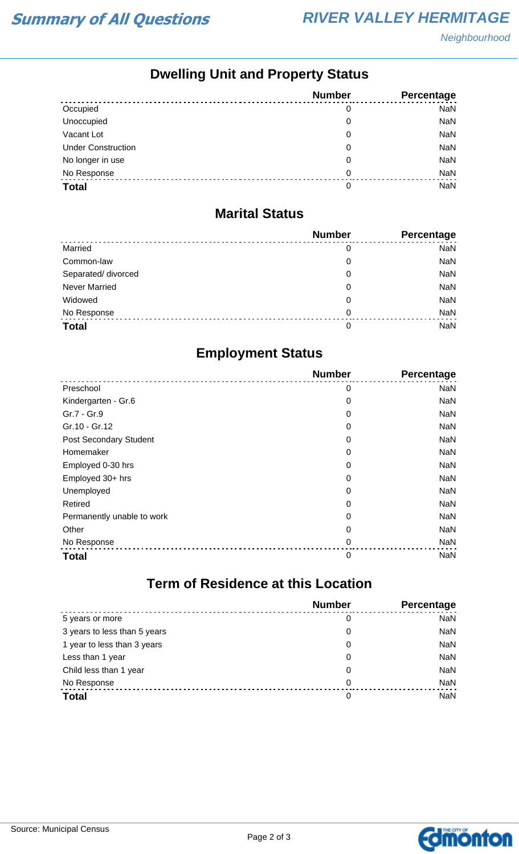## **Dwelling Unit and Property Status**

|                           | <b>Number</b> | Percentage |
|---------------------------|---------------|------------|
| Occupied                  | 0             | <b>NaN</b> |
| Unoccupied                | 0             | <b>NaN</b> |
| Vacant Lot                | 0             | <b>NaN</b> |
| <b>Under Construction</b> | 0             | <b>NaN</b> |
| No longer in use          | 0             | <b>NaN</b> |
| No Response               | 0             | <b>NaN</b> |
| <b>Total</b>              | 0             | <b>NaN</b> |

#### **Marital Status**

|                      | <b>Number</b> | Percentage |
|----------------------|---------------|------------|
| Married              | 0             | <b>NaN</b> |
| Common-law           | 0             | <b>NaN</b> |
| Separated/ divorced  | 0             | <b>NaN</b> |
| <b>Never Married</b> | 0             | <b>NaN</b> |
| Widowed              | 0             | <b>NaN</b> |
| No Response          | 0             | <b>NaN</b> |
| <b>Total</b>         | 0             | <b>NaN</b> |

## **Employment Status**

|                               | <b>Number</b> | Percentage |
|-------------------------------|---------------|------------|
| Preschool                     | 0             | <b>NaN</b> |
| Kindergarten - Gr.6           | 0             | NaN        |
| Gr.7 - Gr.9                   | 0             | NaN        |
| Gr.10 - Gr.12                 | 0             | NaN        |
| <b>Post Secondary Student</b> | 0             | <b>NaN</b> |
| Homemaker                     | 0             | NaN        |
| Employed 0-30 hrs             | 0             | <b>NaN</b> |
| Employed 30+ hrs              | 0             | NaN        |
| Unemployed                    | 0             | NaN        |
| Retired                       | 0             | NaN        |
| Permanently unable to work    | 0             | <b>NaN</b> |
| Other                         | 0             | NaN        |
| No Response                   | 0             | <b>NaN</b> |
| <b>Total</b>                  | 0             | <b>NaN</b> |

## **Term of Residence at this Location**

|                              | <b>Number</b> | Percentage |
|------------------------------|---------------|------------|
| 5 years or more              | 0             | <b>NaN</b> |
| 3 years to less than 5 years | 0             | <b>NaN</b> |
| 1 year to less than 3 years  | 0             | <b>NaN</b> |
| Less than 1 year             | 0             | <b>NaN</b> |
| Child less than 1 year       | 0             | <b>NaN</b> |
| No Response                  | 0             | <b>NaN</b> |
| <b>Total</b>                 | 0             | <b>NaN</b> |